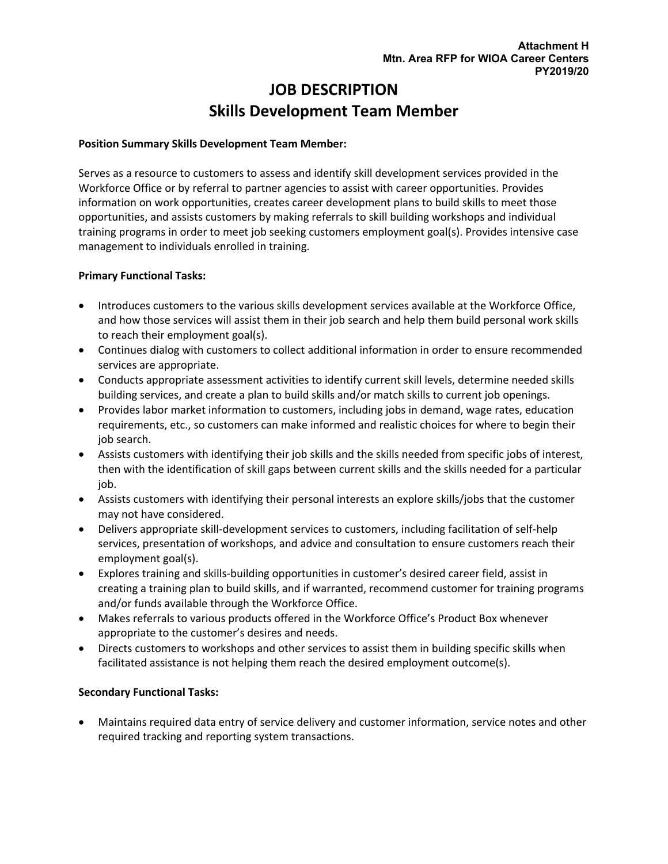# **JOB DESCRIPTION Skills Development Team Member**

#### **Position Summary Skills Development Team Member:**

Serves as a resource to customers to assess and identify skill development services provided in the Workforce Office or by referral to partner agencies to assist with career opportunities. Provides information on work opportunities, creates career development plans to build skills to meet those opportunities, and assists customers by making referrals to skill building workshops and individual training programs in order to meet job seeking customers employment goal(s). Provides intensive case management to individuals enrolled in training.

### **Primary Functional Tasks:**

- Introduces customers to the various skills development services available at the Workforce Office, and how those services will assist them in their job search and help them build personal work skills to reach their employment goal(s).
- Continues dialog with customers to collect additional information in order to ensure recommended services are appropriate.
- Conducts appropriate assessment activities to identify current skill levels, determine needed skills building services, and create a plan to build skills and/or match skills to current job openings.
- Provides labor market information to customers, including jobs in demand, wage rates, education requirements, etc., so customers can make informed and realistic choices for where to begin their job search.
- Assists customers with identifying their job skills and the skills needed from specific jobs of interest, then with the identification of skill gaps between current skills and the skills needed for a particular job.
- Assists customers with identifying their personal interests an explore skills/jobs that the customer may not have considered.
- Delivers appropriate skill-development services to customers, including facilitation of self-help services, presentation of workshops, and advice and consultation to ensure customers reach their employment goal(s).
- Explores training and skills-building opportunities in customer's desired career field, assist in creating a training plan to build skills, and if warranted, recommend customer for training programs and/or funds available through the Workforce Office.
- Makes referrals to various products offered in the Workforce Office's Product Box whenever appropriate to the customer's desires and needs.
- Directs customers to workshops and other services to assist them in building specific skills when facilitated assistance is not helping them reach the desired employment outcome(s).

#### **Secondary Functional Tasks:**

• Maintains required data entry of service delivery and customer information, service notes and other required tracking and reporting system transactions.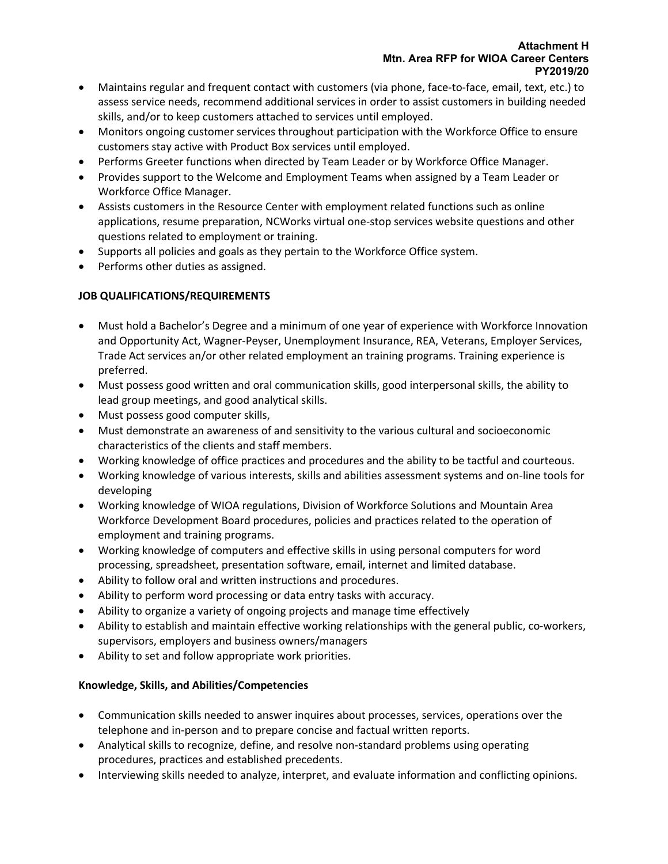- Maintains regular and frequent contact with customers (via phone, face-to-face, email, text, etc.) to assess service needs, recommend additional services in order to assist customers in building needed skills, and/or to keep customers attached to services until employed.
- Monitors ongoing customer services throughout participation with the Workforce Office to ensure customers stay active with Product Box services until employed.
- Performs Greeter functions when directed by Team Leader or by Workforce Office Manager.
- Provides support to the Welcome and Employment Teams when assigned by a Team Leader or Workforce Office Manager.
- Assists customers in the Resource Center with employment related functions such as online applications, resume preparation, NCWorks virtual one-stop services website questions and other questions related to employment or training.
- Supports all policies and goals as they pertain to the Workforce Office system.
- Performs other duties as assigned.

## **JOB QUALIFICATIONS/REQUIREMENTS**

- Must hold a Bachelor's Degree and a minimum of one year of experience with Workforce Innovation and Opportunity Act, Wagner-Peyser, Unemployment Insurance, REA, Veterans, Employer Services, Trade Act services an/or other related employment an training programs. Training experience is preferred.
- Must possess good written and oral communication skills, good interpersonal skills, the ability to lead group meetings, and good analytical skills.
- Must possess good computer skills,
- Must demonstrate an awareness of and sensitivity to the various cultural and socioeconomic characteristics of the clients and staff members.
- Working knowledge of office practices and procedures and the ability to be tactful and courteous.
- Working knowledge of various interests, skills and abilities assessment systems and on-line tools for developing
- Working knowledge of WIOA regulations, Division of Workforce Solutions and Mountain Area Workforce Development Board procedures, policies and practices related to the operation of employment and training programs.
- Working knowledge of computers and effective skills in using personal computers for word processing, spreadsheet, presentation software, email, internet and limited database.
- Ability to follow oral and written instructions and procedures.
- Ability to perform word processing or data entry tasks with accuracy.
- Ability to organize a variety of ongoing projects and manage time effectively
- Ability to establish and maintain effective working relationships with the general public, co-workers, supervisors, employers and business owners/managers
- Ability to set and follow appropriate work priorities.

## **Knowledge, Skills, and Abilities/Competencies**

- Communication skills needed to answer inquires about processes, services, operations over the telephone and in-person and to prepare concise and factual written reports.
- Analytical skills to recognize, define, and resolve non-standard problems using operating procedures, practices and established precedents.
- Interviewing skills needed to analyze, interpret, and evaluate information and conflicting opinions.